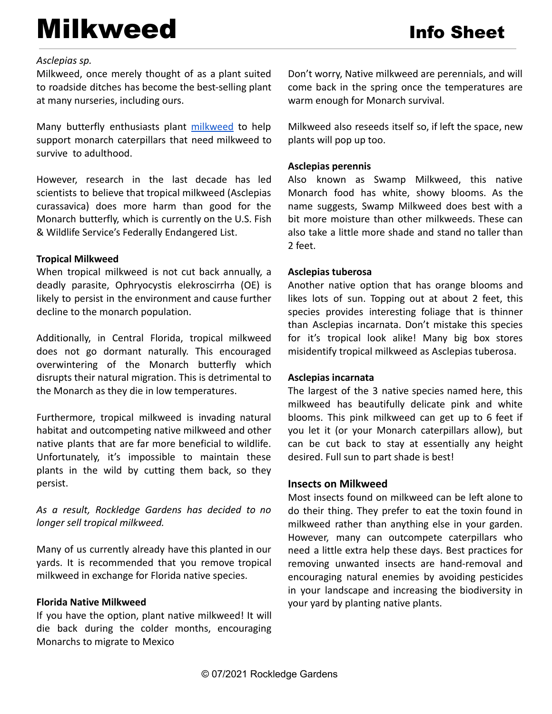# Milkweed Info Sheet

## *Asclepias sp.*

Milkweed, once merely thought of as a plant suited to roadside ditches has become the best-selling plant at many nurseries, including ours.

Many butterfly enthusiasts plant [milkweed](https://shop.rockledgegardens.com/inventory/search?q=milkweed) to help support monarch caterpillars that need milkweed to survive to adulthood.

However, research in the last decade has led scientists to believe that tropical milkweed (Asclepias curassavica) does more harm than good for the Monarch butterfly, which is currently on the U.S. Fish & Wildlife Service's Federally Endangered List.

## **Tropical Milkweed**

When tropical milkweed is not cut back annually, a deadly parasite, Ophryocystis elekroscirrha (OE) is likely to persist in the environment and cause further decline to the monarch population.

Additionally, in Central Florida, tropical milkweed does not go dormant naturally. This encouraged overwintering of the Monarch butterfly which disrupts their natural migration. This is detrimental to the Monarch as they die in low temperatures.

Furthermore, tropical milkweed is invading natural habitat and outcompeting native milkweed and other native plants that are far more beneficial to wildlife. Unfortunately, it's impossible to maintain these plants in the wild by cutting them back, so they persist.

*As a result, Rockledge Gardens has decided to no longer sell tropical milkweed.*

Many of us currently already have this planted in our yards. It is recommended that you remove tropical milkweed in exchange for Florida native species.

# **Florida Native Milkweed**

If you have the option, plant native milkweed! It will die back during the colder months, encouraging Monarchs to migrate to Mexico

Don't worry, Native milkweed are perennials, and will come back in the spring once the temperatures are warm enough for Monarch survival.

Milkweed also reseeds itself so, if left the space, new plants will pop up too.

#### **Asclepias perennis**

Also known as Swamp Milkweed, this native Monarch food has white, showy blooms. As the name suggests, Swamp Milkweed does best with a bit more moisture than other milkweeds. These can also take a little more shade and stand no taller than 2 feet.

## **Asclepias tuberosa**

Another native option that has orange blooms and likes lots of sun. Topping out at about 2 feet, this species provides interesting foliage that is thinner than Asclepias incarnata. Don't mistake this species for it's tropical look alike! Many big box stores misidentify tropical milkweed as Asclepias tuberosa.

#### **Asclepias incarnata**

The largest of the 3 native species named here, this milkweed has beautifully delicate pink and white blooms. This pink milkweed can get up to 6 feet if you let it (or your Monarch caterpillars allow), but can be cut back to stay at essentially any height desired. Full sun to part shade is best!

#### **Insects on Milkweed**

Most insects found on milkweed can be left alone to do their thing. They prefer to eat the toxin found in milkweed rather than anything else in your garden. However, many can outcompete caterpillars who need a little extra help these days. Best practices for removing unwanted insects are hand-removal and encouraging natural enemies by avoiding pesticides in your landscape and increasing the biodiversity in your yard by planting native plants.